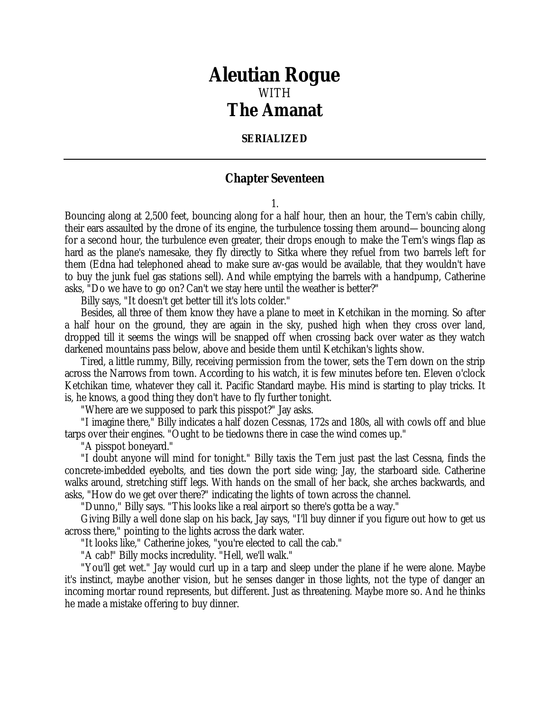## *Aleutian Rogue* WITH *The Amanat*

## **SERIALIZED**

## **Chapter Seventeen**

1.

Bouncing along at 2,500 feet, bouncing along for a half hour, then an hour, the Tern's cabin chilly, their ears assaulted by the drone of its engine, the turbulence tossing them around—bouncing along for a second hour, the turbulence even greater, their drops enough to make the Tern's wings flap as hard as the plane's namesake, they fly directly to Sitka where they refuel from two barrels left for them (Edna had telephoned ahead to make sure av-gas would be available, that they wouldn't have to buy the junk fuel gas stations sell). And while emptying the barrels with a handpump, Catherine asks, "Do we have to go on? Can't we stay here until the weather is better?"

Billy says, "It doesn't get better till it's lots colder."

Besides, all three of them know they have a plane to meet in Ketchikan in the morning. So after a half hour on the ground, they are again in the sky, pushed high when they cross over land, dropped till it seems the wings will be snapped off when crossing back over water as they watch darkened mountains pass below, above and beside them until Ketchikan's lights show.

Tired, a little rummy, Billy, receiving permission from the tower, sets the Tern down on the strip across the Narrows from town. According to his watch, it is few minutes before ten. Eleven o'clock Ketchikan time, whatever they call it. Pacific Standard maybe. His mind is starting to play tricks. It is, he knows, a good thing they don't have to fly further tonight.

"Where are we supposed to park this pisspot?" Jay asks.

"I imagine there," Billy indicates a half dozen Cessnas, 172s and 180s, all with cowls off and blue tarps over their engines. "Ought to be tiedowns there in case the wind comes up."

"A pisspot boneyard."

"I doubt anyone will mind for tonight." Billy taxis the Tern just past the last Cessna, finds the concrete-imbedded eyebolts, and ties down the port side wing; Jay, the starboard side. Catherine walks around, stretching stiff legs. With hands on the small of her back, she arches backwards, and asks, "How do we get over there?" indicating the lights of town across the channel.

"Dunno," Billy says. "This looks like a real airport so there's gotta be a way."

Giving Billy a well done slap on his back, Jay says, "I'll buy dinner if you figure out how to get us across there," pointing to the lights across the dark water.

"It looks like," Catherine jokes, "you're elected to call the cab."

"A cab!" Billy mocks incredulity. "Hell, we'll walk."

"You'll get wet." Jay would curl up in a tarp and sleep under the plane if he were alone. Maybe it's instinct, maybe another vision, but he senses danger in those lights, not the type of danger an incoming mortar round represents, but different. Just as threatening. Maybe more so. And he thinks he made a mistake offering to buy dinner.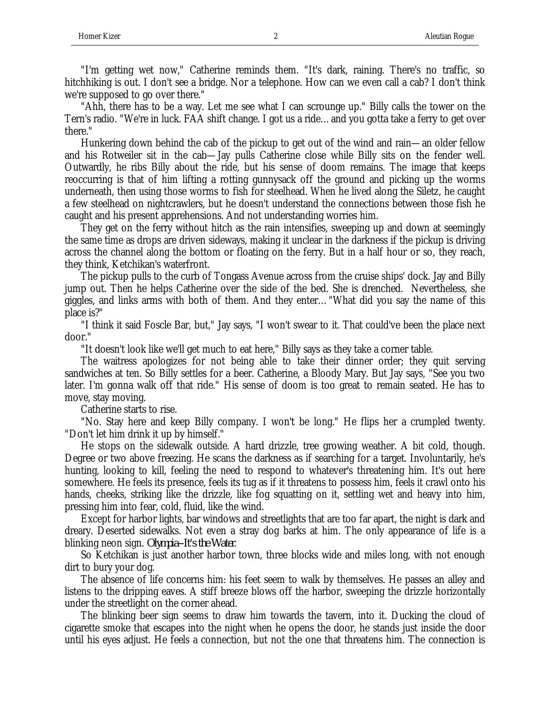"I'm getting wet now," Catherine reminds them. "It's dark, raining. There's no traffic, so hitchhiking is out. I don't see a bridge. Nor a telephone. How can we even call a cab? I don't think we're supposed to go over there."

"Ahh, there has to be a way. Let me see what I can scrounge up." Billy calls the tower on the Tern's radio. "We're in luck. FAA shift change. I got us a ride…and you gotta take a ferry to get over there."

Hunkering down behind the cab of the pickup to get out of the wind and rain—an older fellow and his Rotweiler sit in the cab—Jay pulls Catherine close while Billy sits on the fender well. Outwardly, he ribs Billy about the ride, but his sense of doom remains. The image that keeps reoccurring is that of him lifting a rotting gunnysack off the ground and picking up the worms underneath, then using those worms to fish for steelhead. When he lived along the Siletz, he caught a few steelhead on nightcrawlers, but he doesn't understand the connections between those fish he caught and his present apprehensions. And not understanding worries him.

They get on the ferry without hitch as the rain intensifies, sweeping up and down at seemingly the same time as drops are driven sideways, making it unclear in the darkness if the pickup is driving across the channel along the bottom or floating on the ferry. But in a half hour or so, they reach, they think, Ketchikan's waterfront.

The pickup pulls to the curb of Tongass Avenue across from the cruise ships' dock. Jay and Billy jump out. Then he helps Catherine over the side of the bed. She is drenched. Nevertheless, she giggles, and links arms with both of them. And they enter…"What did you say the name of this place is?"

"I think it said Foscle Bar, but," Jay says, "I won't swear to it. That could've been the place next door."

"It doesn't look like we'll get much to eat here," Billy says as they take a corner table.

The waitress apologizes for not being able to take their dinner order; they quit serving sandwiches at ten. So Billy settles for a beer. Catherine, a Bloody Mary. But Jay says, "See you two later. I'm gonna walk off that ride." His sense of doom is too great to remain seated. He has to move, stay moving.

Catherine starts to rise.

"No. Stay here and keep Billy company. I won't be long." He flips her a crumpled twenty. "Don't let him drink it up by himself."

He stops on the sidewalk outside. A hard drizzle, tree growing weather. A bit cold, though. Degree or two above freezing. He scans the darkness as if searching for a target. Involuntarily, he's hunting, looking to kill, feeling the need to respond to whatever's threatening him. It's out here somewhere. He feels its presence, feels its tug as if it threatens to possess him, feels it crawl onto his hands, cheeks, striking like the drizzle, like fog squatting on it, settling wet and heavy into him, pressing him into fear, cold, fluid, like the wind.

Except for harbor lights, bar windows and streetlights that are too far apart, the night is dark and dreary. Deserted sidewalks. Not even a stray dog barks at him. The only appearance of life is a blinking neon sign. *Olympia--It's the Water*.

So Ketchikan is just another harbor town, three blocks wide and miles long, with not enough dirt to bury your dog.

The absence of life concerns him: his feet seem to walk by themselves. He passes an alley and listens to the dripping eaves. A stiff breeze blows off the harbor, sweeping the drizzle horizontally under the streetlight on the corner ahead.

The blinking beer sign seems to draw him towards the tavern, into it. Ducking the cloud of cigarette smoke that escapes into the night when he opens the door, he stands just inside the door until his eyes adjust. He feels a connection, but not the one that threatens him. The connection is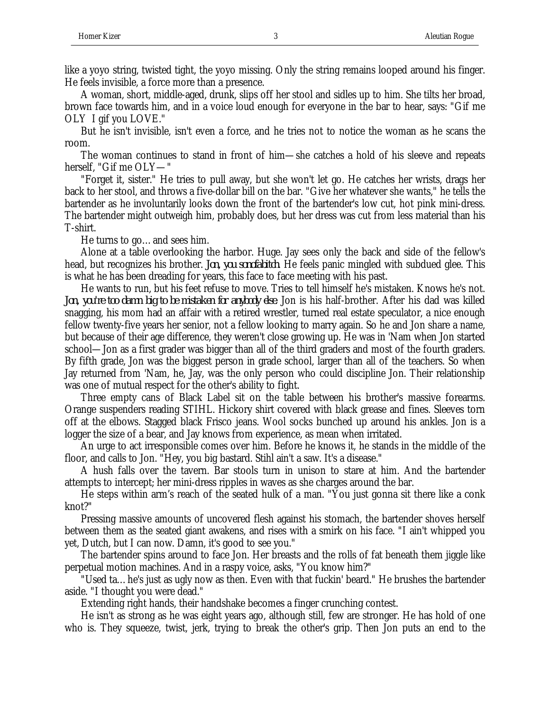like a yoyo string, twisted tight, the yoyo missing. Only the string remains looped around his finger. He feels invisible, a force more than a presence.

A woman, short, middle-aged, drunk, slips off her stool and sidles up to him. She tilts her broad, brown face towards him, and in a voice loud enough for everyone in the bar to hear, says: "Gif me OLY I gif you LOVE."

But he isn't invisible, isn't even a force, and he tries not to notice the woman as he scans the room.

The woman continues to stand in front of him—she catches a hold of his sleeve and repeats herself, "Gif me OLY—"

"Forget it, sister." He tries to pull away, but she won't let go. He catches her wrists, drags her back to her stool, and throws a five-dollar bill on the bar. "Give her whatever she wants," he tells the bartender as he involuntarily looks down the front of the bartender's low cut, hot pink mini-dress. The bartender might outweigh him, probably does, but her dress was cut from less material than his T-shirt.

He turns to go…and sees him.

Alone at a table overlooking the harbor. Huge. Jay sees only the back and side of the fellow's head, but recognizes his brother. *Jon, you sonofabitch*. He feels panic mingled with subdued glee. This is what he has been dreading for years, this face to face meeting with his past.

He wants to run, but his feet refuse to move. Tries to tell himself he's mistaken. Knows he's not. *Jon, you're too damn big to be mistaken for anybody else*. Jon is his half-brother. After his dad was killed snagging, his mom had an affair with a retired wrestler, turned real estate speculator, a nice enough fellow twenty-five years her senior, not a fellow looking to marry again. So he and Jon share a name, but because of their age difference, they weren't close growing up. He was in 'Nam when Jon started school—Jon as a first grader was bigger than all of the third graders and most of the fourth graders. By fifth grade, Jon was the biggest person in grade school, larger than all of the teachers. So when Jay returned from 'Nam, he, Jay, was the only person who could discipline Jon. Their relationship was one of mutual respect for the other's ability to fight.

Three empty cans of Black Label sit on the table between his brother's massive forearms. Orange suspenders reading STIHL. Hickory shirt covered with black grease and fines. Sleeves torn off at the elbows. Stagged black Frisco jeans. Wool socks bunched up around his ankles. Jon is a logger the size of a bear, and Jay knows from experience, as mean when irritated.

An urge to act irresponsible comes over him. Before he knows it, he stands in the middle of the floor, and calls to Jon. "Hey, you big bastard. Stihl ain't a saw. It's a disease."

A hush falls over the tavern. Bar stools turn in unison to stare at him. And the bartender attempts to intercept; her mini-dress ripples in waves as she charges around the bar.

He steps within arm's reach of the seated hulk of a man. "You just gonna sit there like a conk knot?"

Pressing massive amounts of uncovered flesh against his stomach, the bartender shoves herself between them as the seated giant awakens, and rises with a smirk on his face. "I ain't whipped you yet, Dutch, but I can now. Damn, it's good to see you."

The bartender spins around to face Jon. Her breasts and the rolls of fat beneath them jiggle like perpetual motion machines. And in a raspy voice, asks, "You know him?"

"Used ta…he's just as ugly now as then. Even with that fuckin' beard." He brushes the bartender aside. "I thought you were dead."

Extending right hands, their handshake becomes a finger crunching contest.

He isn't as strong as he was eight years ago, although still, few are stronger. He has hold of one who is. They squeeze, twist, jerk, trying to break the other's grip. Then Jon puts an end to the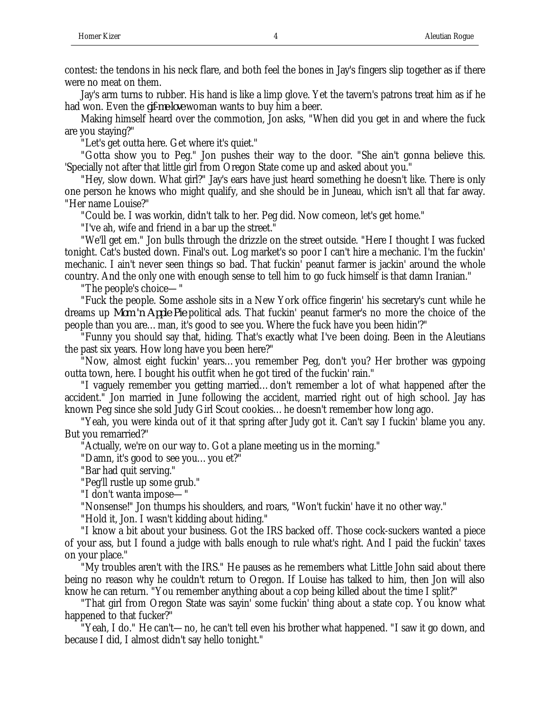contest: the tendons in his neck flare, and both feel the bones in Jay's fingers slip together as if there were no meat on them.

Jay's arm turns to rubber. His hand is like a limp glove. Yet the tavern's patrons treat him as if he had won. Even the *gif-me-love* woman wants to buy him a beer.

Making himself heard over the commotion, Jon asks, "When did you get in and where the fuck are you staying?"

"Let's get outta here. Get where it's quiet."

"Gotta show you to Peg." Jon pushes their way to the door. "She ain't gonna believe this. 'Specially not after that little girl from Oregon State come up and asked about you."

"Hey, slow down. What girl?" Jay's ears have just heard something he doesn't like. There is only one person he knows who might qualify, and she should be in Juneau, which isn't all that far away. "Her name Louise?"

"Could be. I was workin, didn't talk to her. Peg did. Now comeon, let's get home."

"I've ah, wife and friend in a bar up the street."

"We'll get em." Jon bulls through the drizzle on the street outside. "Here I thought I was fucked tonight. Cat's busted down. Final's out. Log market's so poor I can't hire a mechanic. I'm the fuckin' mechanic. I ain't never seen things so bad. That fuckin' peanut farmer is jackin' around the whole country. And the only one with enough sense to tell him to go fuck himself is that damn Iranian."

"The people's choice—"

"Fuck the people. Some asshole sits in a New York office fingerin' his secretary's cunt while he dreams up *Mom 'n Apple Pie* political ads. That fuckin' peanut farmer's no more the choice of the people than you are…man, it's good to see you. Where the fuck have you been hidin'?"

"Funny you should say that, hiding. That's exactly what I've been doing. Been in the Aleutians the past six years. How long have you been here?"

"Now, almost eight fuckin' years…you remember Peg, don't you? Her brother was gypoing outta town, here. I bought his outfit when he got tired of the fuckin' rain."

"I vaguely remember you getting married…don't remember a lot of what happened after the accident." Jon married in June following the accident, married right out of high school. Jay has known Peg since she sold Judy Girl Scout cookies…he doesn't remember how long ago.

"Yeah, you were kinda out of it that spring after Judy got it. Can't say I fuckin' blame you any. But you remarried?"

"Actually, we're on our way to. Got a plane meeting us in the morning."

"Damn, it's good to see you…you et?"

"Bar had quit serving."

"Peg'll rustle up some grub."

"I don't wanta impose—"

"Nonsense!" Jon thumps his shoulders, and roars, "Won't fuckin' have it no other way."

"Hold it, Jon. I wasn't kidding about hiding."

"I know a bit about your business. Got the IRS backed off. Those cock-suckers wanted a piece of your ass, but I found a judge with balls enough to rule what's right. And I paid the fuckin' taxes on your place."

"My troubles aren't with the IRS." He pauses as he remembers what Little John said about there being no reason why he couldn't return to Oregon. If Louise has talked to him, then Jon will also know he can return. "You remember anything about a cop being killed about the time I split?"

"That girl from Oregon State was sayin' some fuckin' thing about a state cop. You know what happened to that fucker?"

"Yeah, I do." He can't—no, he can't tell even his brother what happened. "I saw it go down, and because I did, I almost didn't say hello tonight."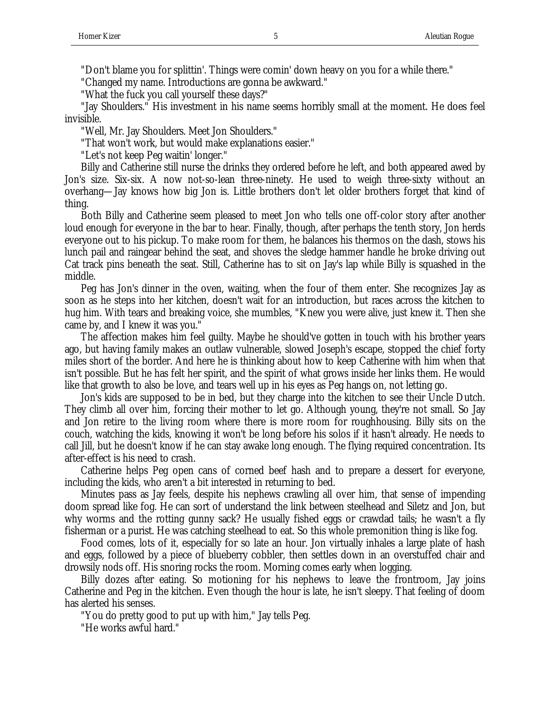"Don't blame you for splittin'. Things were comin' down heavy on you for a while there."

"Changed my name. Introductions are gonna be awkward."

"What the fuck you call yourself these days?"

"Jay Shoulders." His investment in his name seems horribly small at the moment. He does feel invisible.

"Well, Mr. Jay Shoulders. Meet Jon Shoulders."

"That won't work, but would make explanations easier."

"Let's not keep Peg waitin' longer."

Billy and Catherine still nurse the drinks they ordered before he left, and both appeared awed by Jon's size. Six-six. A now not-so-lean three-ninety. He used to weigh three-sixty without an overhang—Jay knows how big Jon is. Little brothers don't let older brothers forget that kind of thing.

Both Billy and Catherine seem pleased to meet Jon who tells one off-color story after another loud enough for everyone in the bar to hear. Finally, though, after perhaps the tenth story, Jon herds everyone out to his pickup. To make room for them, he balances his thermos on the dash, stows his lunch pail and raingear behind the seat, and shoves the sledge hammer handle he broke driving out Cat track pins beneath the seat. Still, Catherine has to sit on Jay's lap while Billy is squashed in the middle.

Peg has Jon's dinner in the oven, waiting, when the four of them enter. She recognizes Jay as soon as he steps into her kitchen, doesn't wait for an introduction, but races across the kitchen to hug him. With tears and breaking voice, she mumbles, "Knew you were alive, just knew it. Then she came by, and I knew it was you."

The affection makes him feel guilty. Maybe he should've gotten in touch with his brother years ago, but having family makes an outlaw vulnerable, slowed Joseph's escape, stopped the chief forty miles short of the border. And here he is thinking about how to keep Catherine with him when that isn't possible. But he has felt her spirit, and the spirit of what grows inside her links them. He would like that growth to also be love, and tears well up in his eyes as Peg hangs on, not letting go.

Jon's kids are supposed to be in bed, but they charge into the kitchen to see their Uncle Dutch. They climb all over him, forcing their mother to let go. Although young, they're not small. So Jay and Jon retire to the living room where there is more room for roughhousing. Billy sits on the couch, watching the kids, knowing it won't be long before his solos if it hasn't already. He needs to call Jill, but he doesn't know if he can stay awake long enough. The flying required concentration. Its after-effect is his need to crash.

Catherine helps Peg open cans of corned beef hash and to prepare a dessert for everyone, including the kids, who aren't a bit interested in returning to bed.

Minutes pass as Jay feels, despite his nephews crawling all over him, that sense of impending doom spread like fog. He can sort of understand the link between steelhead and Siletz and Jon, but why worms and the rotting gunny sack? He usually fished eggs or crawdad tails; he wasn't a fly fisherman or a purist. He was catching steelhead to eat. So this whole premonition thing is like fog.

Food comes, lots of it, especially for so late an hour. Jon virtually inhales a large plate of hash and eggs, followed by a piece of blueberry cobbler, then settles down in an overstuffed chair and drowsily nods off. His snoring rocks the room. Morning comes early when logging.

Billy dozes after eating. So motioning for his nephews to leave the frontroom, Jay joins Catherine and Peg in the kitchen. Even though the hour is late, he isn't sleepy. That feeling of doom has alerted his senses.

"You do pretty good to put up with him," Jay tells Peg.

"He works awful hard."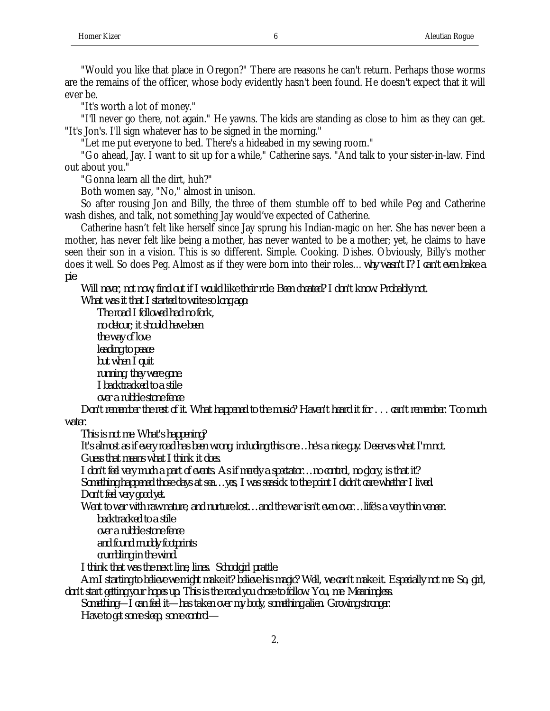"Would you like that place in Oregon?" There are reasons he can't return. Perhaps those worms are the remains of the officer, whose body evidently hasn't been found. He doesn't expect that it will ever be.

"It's worth a lot of money."

"I'll never go there, not again." He yawns. The kids are standing as close to him as they can get. "It's Jon's. I'll sign whatever has to be signed in the morning."

"Let me put everyone to bed. There's a hideabed in my sewing room."

"Go ahead, Jay. I want to sit up for a while," Catherine says. "And talk to your sister-in-law. Find out about you."

"Gonna learn all the dirt, huh?"

Both women say, "No," almost in unison.

So after rousing Jon and Billy, the three of them stumble off to bed while Peg and Catherine wash dishes, and talk, not something Jay would've expected of Catherine.

Catherine hasn't felt like herself since Jay sprung his Indian-magic on her. She has never been a mother, has never felt like being a mother, has never wanted to be a mother; yet, he claims to have seen their son in a vision. This is so different. Simple. Cooking. Dishes. Obviously, Billy's mother does it well. So does Peg. Almost as if they were born into their roles…*why wasn't I? I can't even bake a pie*.

*Will never, not now, find out if I would like their role. Been cheated? I don't know. Probably not.*

*What was it that I started to write so long ago:*

*The road I followed had no fork, no detour; it should have been the way of love leading to peace but when I quit running, they were gone. I backtracked to a stile over a rubble stone fence*

*Don't remember the rest of it. What happened to the music? Haven't heard it for . . . can't remember. Too much water.*

*This is not me. What's happening?*

*It's almost as if every road has been wrong, including this one…he's a nice guy. Deserves what I'm not. Guess that means what I think it does.*

*I don't feel very much a part of events. As if merely a spectator…no control, no glory, is that it? Something happened those days at sea…yes, I was seasick to the point I didn't care whether I lived.*

*Don't feel very good yet.*

*Went to war with raw nature, and nurture lost…and the war isn't even over…life's a very thin veneer. backtracked to a stile*

*over a rubble stone fence and found muddy footprints*

*crumbling in the wind.*

*I think that was the next line, lines. Schoolgirl prattle.*

*Am I starting to believe we might make it? believe his magic? Well, we can't make it. Especially not me. So, girl, don't start getting your hopes up. This is the road you chose to follow. You, me. Meaningless.*

*Something—I can feel it—has taken over my body, something alien. Growing stronger. Have to get some sleep, some control—*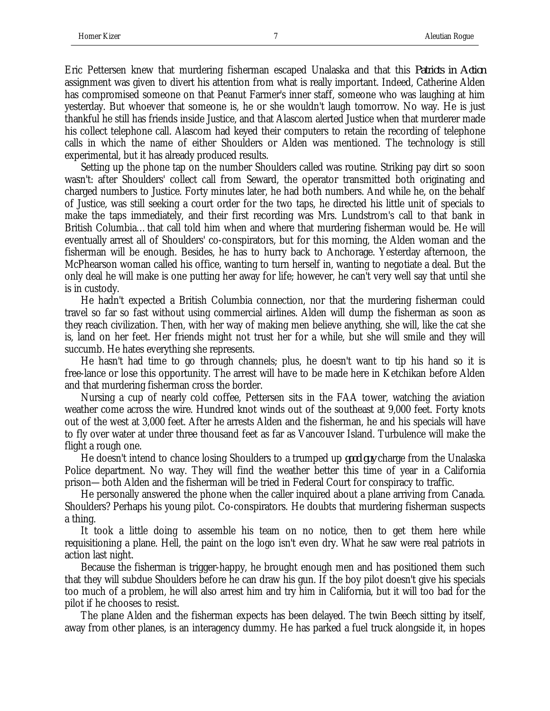Eric Pettersen knew that murdering fisherman escaped Unalaska and that this *Patriots in Action* assignment was given to divert his attention from what is really important. Indeed, Catherine Alden has compromised someone on that Peanut Farmer's inner staff, someone who was laughing at him yesterday. But whoever that someone is, he or she wouldn't laugh tomorrow. No way. He is just thankful he still has friends inside Justice, and that Alascom alerted Justice when that murderer made his collect telephone call. Alascom had keyed their computers to retain the recording of telephone calls in which the name of either Shoulders or Alden was mentioned. The technology is still experimental, but it has already produced results.

Setting up the phone tap on the number Shoulders called was routine. Striking pay dirt so soon wasn't: after Shoulders' collect call from Seward, the operator transmitted both originating and charged numbers to Justice. Forty minutes later, he had both numbers. And while he, on the behalf of Justice, was still seeking a court order for the two taps, he directed his little unit of specials to make the taps immediately, and their first recording was Mrs. Lundstrom's call to that bank in British Columbia…that call told him when and where that murdering fisherman would be. He will eventually arrest all of Shoulders' co-conspirators, but for this morning, the Alden woman and the fisherman will be enough. Besides, he has to hurry back to Anchorage. Yesterday afternoon, the McPhearson woman called his office, wanting to turn herself in, wanting to negotiate a deal. But the only deal he will make is one putting her away for life; however, he can't very well say that until she is in custody.

He hadn't expected a British Columbia connection, nor that the murdering fisherman could travel so far so fast without using commercial airlines. Alden will dump the fisherman as soon as they reach civilization. Then, with her way of making men believe anything, she will, like the cat she is, land on her feet. Her friends might not trust her for a while, but she will smile and they will succumb. He hates everything she represents.

He hasn't had time to go through channels; plus, he doesn't want to tip his hand so it is free-lance or lose this opportunity. The arrest will have to be made here in Ketchikan before Alden and that murdering fisherman cross the border.

Nursing a cup of nearly cold coffee, Pettersen sits in the FAA tower, watching the aviation weather come across the wire. Hundred knot winds out of the southeast at 9,000 feet. Forty knots out of the west at 3,000 feet. After he arrests Alden and the fisherman, he and his specials will have to fly over water at under three thousand feet as far as Vancouver Island. Turbulence will make the flight a rough one.

He doesn't intend to chance losing Shoulders to a trumped up *good guy* charge from the Unalaska Police department. No way. They will find the weather better this time of year in a California prison—both Alden and the fisherman will be tried in Federal Court for conspiracy to traffic.

He personally answered the phone when the caller inquired about a plane arriving from Canada. Shoulders? Perhaps his young pilot. Co-conspirators. He doubts that murdering fisherman suspects a thing.

It took a little doing to assemble his team on no notice, then to get them here while requisitioning a plane. Hell, the paint on the logo isn't even dry. What he saw were real patriots in action last night.

Because the fisherman is trigger-happy, he brought enough men and has positioned them such that they will subdue Shoulders before he can draw his gun. If the boy pilot doesn't give his specials too much of a problem, he will also arrest him and try him in California, but it will too bad for the pilot if he chooses to resist.

The plane Alden and the fisherman expects has been delayed. The twin Beech sitting by itself, away from other planes, is an interagency dummy. He has parked a fuel truck alongside it, in hopes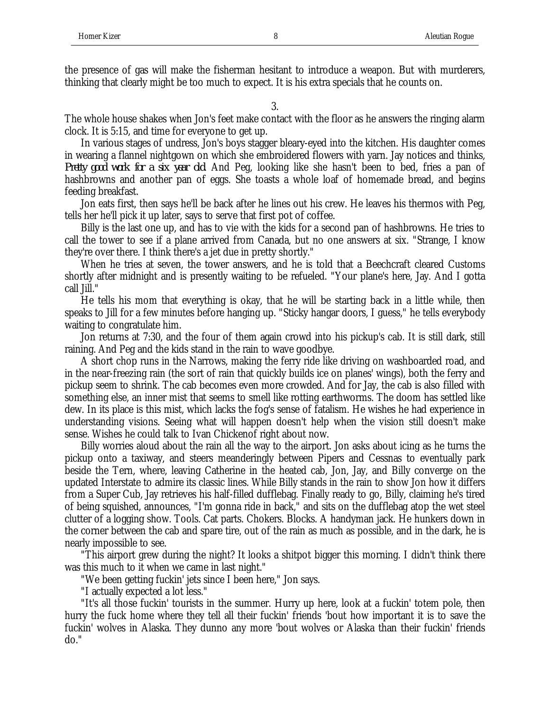the presence of gas will make the fisherman hesitant to introduce a weapon. But with murderers, thinking that clearly might be too much to expect. It is his extra specials that he counts on.

3.

The whole house shakes when Jon's feet make contact with the floor as he answers the ringing alarm clock. It is 5:15, and time for everyone to get up.

In various stages of undress, Jon's boys stagger bleary-eyed into the kitchen. His daughter comes in wearing a flannel nightgown on which she embroidered flowers with yarn. Jay notices and thinks, *Pretty good work for a six year old*. And Peg, looking like she hasn't been to bed, fries a pan of hashbrowns and another pan of eggs. She toasts a whole loaf of homemade bread, and begins feeding breakfast.

Jon eats first, then says he'll be back after he lines out his crew. He leaves his thermos with Peg, tells her he'll pick it up later, says to serve that first pot of coffee.

Billy is the last one up, and has to vie with the kids for a second pan of hashbrowns. He tries to call the tower to see if a plane arrived from Canada, but no one answers at six. "Strange, I know they're over there. I think there's a jet due in pretty shortly."

When he tries at seven, the tower answers, and he is told that a Beechcraft cleared Customs shortly after midnight and is presently waiting to be refueled. "Your plane's here, Jay. And I gotta call Jill."

He tells his mom that everything is okay, that he will be starting back in a little while, then speaks to Jill for a few minutes before hanging up. "Sticky hangar doors, I guess," he tells everybody waiting to congratulate him.

Jon returns at 7:30, and the four of them again crowd into his pickup's cab. It is still dark, still raining. And Peg and the kids stand in the rain to wave goodbye.

A short chop runs in the Narrows, making the ferry ride like driving on washboarded road, and in the near-freezing rain (the sort of rain that quickly builds ice on planes' wings), both the ferry and pickup seem to shrink. The cab becomes even more crowded. And for Jay, the cab is also filled with something else, an inner mist that seems to smell like rotting earthworms. The doom has settled like dew. In its place is this mist, which lacks the fog's sense of fatalism. He wishes he had experience in understanding visions. Seeing what will happen doesn't help when the vision still doesn't make sense. Wishes he could talk to Ivan Chickenof right about now.

Billy worries aloud about the rain all the way to the airport. Jon asks about icing as he turns the pickup onto a taxiway, and steers meanderingly between Pipers and Cessnas to eventually park beside the Tern, where, leaving Catherine in the heated cab, Jon, Jay, and Billy converge on the updated Interstate to admire its classic lines. While Billy stands in the rain to show Jon how it differs from a Super Cub, Jay retrieves his half-filled dufflebag. Finally ready to go, Billy, claiming he's tired of being squished, announces, "I'm gonna ride in back," and sits on the dufflebag atop the wet steel clutter of a logging show. Tools. Cat parts. Chokers. Blocks. A handyman jack. He hunkers down in the corner between the cab and spare tire, out of the rain as much as possible, and in the dark, he is nearly impossible to see.

"This airport grew during the night? It looks a shitpot bigger this morning. I didn't think there was this much to it when we came in last night."

"We been getting fuckin' jets since I been here," Jon says.

"I actually expected a lot less."

"It's all those fuckin' tourists in the summer. Hurry up here, look at a fuckin' totem pole, then hurry the fuck home where they tell all their fuckin' friends 'bout how important it is to save the fuckin' wolves in Alaska. They dunno any more 'bout wolves or Alaska than their fuckin' friends do."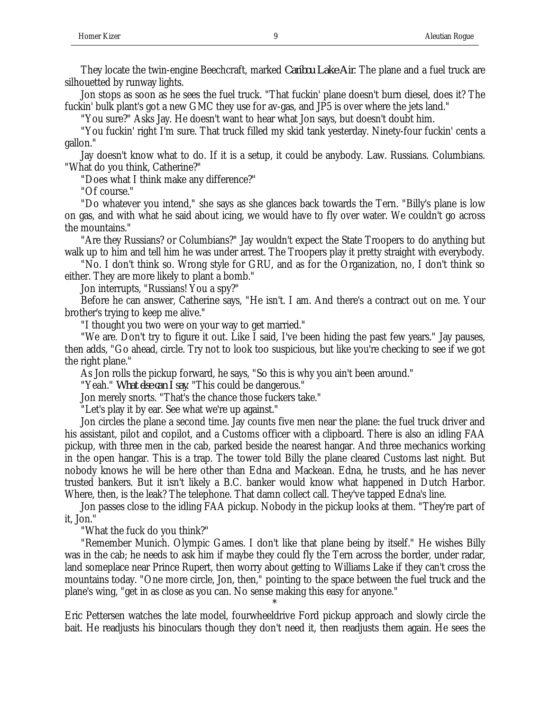They locate the twin-engine Beechcraft, marked *Caribou Lake Air*. The plane and a fuel truck are silhouetted by runway lights.

Jon stops as soon as he sees the fuel truck. "That fuckin' plane doesn't burn diesel, does it? The fuckin' bulk plant's got a new GMC they use for av-gas, and JP5 is over where the jets land."

"You sure?" Asks Jay. He doesn't want to hear what Jon says, but doesn't doubt him.

"You fuckin' right I'm sure. That truck filled my skid tank yesterday. Ninety-four fuckin' cents a gallon."

Jay doesn't know what to do. If it is a setup, it could be anybody. Law. Russians. Columbians. "What do you think, Catherine?"

"Does what I think make any difference?"

"Of course."

"Do whatever you intend," she says as she glances back towards the Tern. "Billy's plane is low on gas, and with what he said about icing, we would have to fly over water. We couldn't go across the mountains."

"Are they Russians? or Columbians?" Jay wouldn't expect the State Troopers to do anything but walk up to him and tell him he was under arrest. The Troopers play it pretty straight with everybody.

"No. I don't think so. Wrong style for GRU, and as for the Organization, no, I don't think so either. They are more likely to plant a bomb."

Jon interrupts, "Russians! You a spy?"

Before he can answer, Catherine says, "He isn't. I am. And there's a contract out on me. Your brother's trying to keep me alive."

"I thought you two were on your way to get married."

"We are. Don't try to figure it out. Like I said, I've been hiding the past few years." Jay pauses, then adds, "Go ahead, circle. Try not to look too suspicious, but like you're checking to see if we got the right plane."

As Jon rolls the pickup forward, he says, "So this is why you ain't been around."

"Yeah." *What else can I say*. "This could be dangerous."

Jon merely snorts. "That's the chance those fuckers take."

"Let's play it by ear. See what we're up against."

Jon circles the plane a second time. Jay counts five men near the plane: the fuel truck driver and his assistant, pilot and copilot, and a Customs officer with a clipboard. There is also an idling FAA pickup, with three men in the cab, parked beside the nearest hangar. And three mechanics working in the open hangar. This is a trap. The tower told Billy the plane cleared Customs last night. But nobody knows he will be here other than Edna and Mackean. Edna, he trusts, and he has never trusted bankers. But it isn't likely a B.C. banker would know what happened in Dutch Harbor. Where, then, is the leak? The telephone. That damn collect call. They've tapped Edna's line.

Jon passes close to the idling FAA pickup. Nobody in the pickup looks at them. "They're part of it, Jon."

"What the fuck do you think?"

"Remember Munich. Olympic Games. I don't like that plane being by itself." He wishes Billy was in the cab; he needs to ask him if maybe they could fly the Tern across the border, under radar, land someplace near Prince Rupert, then worry about getting to Williams Lake if they can't cross the mountains today. "One more circle, Jon, then," pointing to the space between the fuel truck and the plane's wing, "get in as close as you can. No sense making this easy for anyone."

Eric Pettersen watches the late model, fourwheeldrive Ford pickup approach and slowly circle the bait. He readjusts his binoculars though they don't need it, then readjusts them again. He sees the

\*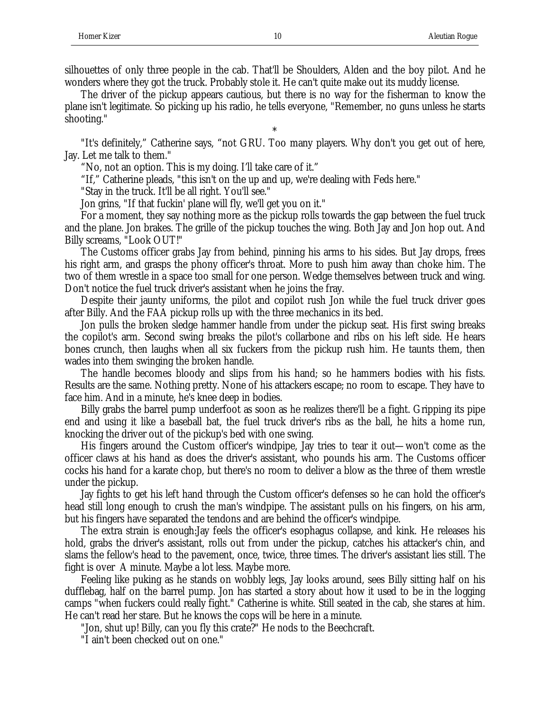The driver of the pickup appears cautious, but there is no way for the fisherman to know the plane isn't legitimate. So picking up his radio, he tells everyone, "Remember, no guns unless he starts shooting."

\* "It's definitely," Catherine says, "not GRU. Too many players. Why don't you get out of here, Jay. Let me talk to them."

"No, not an option. This is my doing. I'll take care of it."

"If," Catherine pleads, "this isn't on the up and up, we're dealing with Feds here."

"Stay in the truck. It'll be all right. You'll see."

Jon grins, "If that fuckin' plane will fly, we'll get you on it."

For a moment, they say nothing more as the pickup rolls towards the gap between the fuel truck and the plane. Jon brakes. The grille of the pickup touches the wing. Both Jay and Jon hop out. And Billy screams, "Look OUT!"

The Customs officer grabs Jay from behind, pinning his arms to his sides. But Jay drops, frees his right arm, and grasps the phony officer's throat. More to push him away than choke him. The two of them wrestle in a space too small for one person. Wedge themselves between truck and wing. Don't notice the fuel truck driver's assistant when he joins the fray.

Despite their jaunty uniforms, the pilot and copilot rush Jon while the fuel truck driver goes after Billy. And the FAA pickup rolls up with the three mechanics in its bed.

Jon pulls the broken sledge hammer handle from under the pickup seat. His first swing breaks the copilot's arm. Second swing breaks the pilot's collarbone and ribs on his left side. He hears bones crunch, then laughs when all six fuckers from the pickup rush him. He taunts them, then wades into them swinging the broken handle.

The handle becomes bloody and slips from his hand; so he hammers bodies with his fists. Results are the same. Nothing pretty. None of his attackers escape; no room to escape. They have to face him. And in a minute, he's knee deep in bodies.

Billy grabs the barrel pump underfoot as soon as he realizes there'll be a fight. Gripping its pipe end and using it like a baseball bat, the fuel truck driver's ribs as the ball, he hits a home run, knocking the driver out of the pickup's bed with one swing.

His fingers around the Custom officer's windpipe, Jay tries to tear it out—won't come as the officer claws at his hand as does the driver's assistant, who pounds his arm. The Customs officer cocks his hand for a karate chop, but there's no room to deliver a blow as the three of them wrestle under the pickup.

Jay fights to get his left hand through the Custom officer's defenses so he can hold the officer's head still long enough to crush the man's windpipe. The assistant pulls on his fingers, on his arm, but his fingers have separated the tendons and are behind the officer's windpipe.

The extra strain is enough:Jay feels the officer's esophagus collapse, and kink. He releases his hold, grabs the driver's assistant, rolls out from under the pickup, catches his attacker's chin, and slams the fellow's head to the pavement, once, twice, three times. The driver's assistant lies still. The fight is over A minute. Maybe a lot less. Maybe more.

Feeling like puking as he stands on wobbly legs, Jay looks around, sees Billy sitting half on his dufflebag, half on the barrel pump. Jon has started a story about how it used to be in the logging camps "when fuckers could really fight." Catherine is white. Still seated in the cab, she stares at him. He can't read her stare. But he knows the cops will be here in a minute.

"Jon, shut up! Billy, can you fly this crate?" He nods to the Beechcraft.

"I ain't been checked out on one."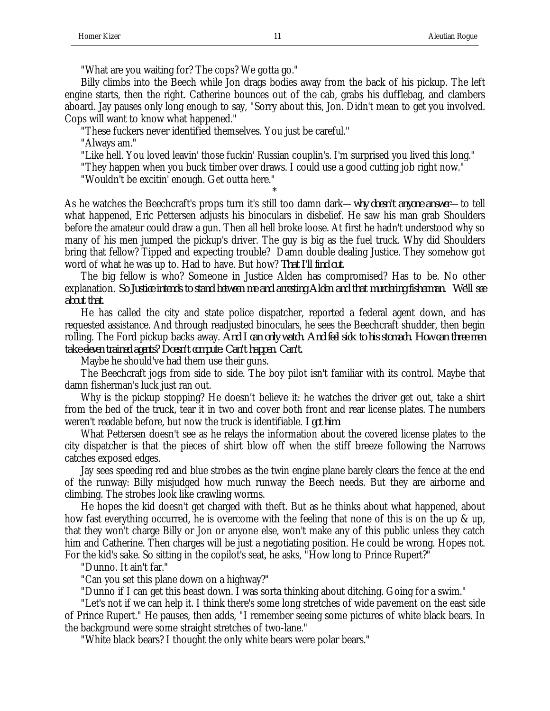"What are you waiting for? The cops? We gotta go."

Billy climbs into the Beech while Jon drags bodies away from the back of his pickup. The left engine starts, then the right. Catherine bounces out of the cab, grabs his dufflebag, and clambers aboard. Jay pauses only long enough to say, "Sorry about this, Jon. Didn't mean to get you involved. Cops will want to know what happened."

"These fuckers never identified themselves. You just be careful."

"Always am."

"Like hell. You loved leavin' those fuckin' Russian couplin's. I'm surprised you lived this long."

"They happen when you buck timber over draws. I could use a good cutting job right now."

\*

"Wouldn't be excitin' enough. Get outta here."

As he watches the Beechcraft's props turn it's still too damn dark—*why doesn't anyone answer*—to tell what happened, Eric Pettersen adjusts his binoculars in disbelief. He saw his man grab Shoulders before the amateur could draw a gun. Then all hell broke loose. At first he hadn't understood why so many of his men jumped the pickup's driver. The guy is big as the fuel truck. Why did Shoulders bring that fellow? Tipped and expecting trouble? Damn double dealing Justice. They somehow got word of what he was up to. Had to have. But how? *That I'll find out*.

The big fellow is who? Someone in Justice Alden has compromised? Has to be. No other explanation. *So Justice intends to stand between me and arresting Alden and that murdering fisherman. We'll see about that*.

He has called the city and state police dispatcher, reported a federal agent down, and has requested assistance. And through readjusted binoculars, he sees the Beechcraft shudder, then begin rolling. The Ford pickup backs away. *And I can only watch. And feel sick to his stomach. How can three men take eleven trained agents? Doesn't compute. Can't happen. Can't.*

Maybe he should've had them use their guns.

The Beechcraft jogs from side to side. The boy pilot isn't familiar with its control. Maybe that damn fisherman's luck just ran out.

Why is the pickup stopping? He doesn't believe it: he watches the driver get out, take a shirt from the bed of the truck, tear it in two and cover both front and rear license plates. The numbers weren't readable before, but now the truck is identifiable. *I got him*.

What Pettersen doesn't see as he relays the information about the covered license plates to the city dispatcher is that the pieces of shirt blow off when the stiff breeze following the Narrows catches exposed edges.

Jay sees speeding red and blue strobes as the twin engine plane barely clears the fence at the end of the runway: Billy misjudged how much runway the Beech needs. But they are airborne and climbing. The strobes look like crawling worms.

He hopes the kid doesn't get charged with theft. But as he thinks about what happened, about how fast everything occurred, he is overcome with the feeling that none of this is on the up & up, that they won't charge Billy or Jon or anyone else, won't make any of this public unless they catch him and Catherine. Then charges will be just a negotiating position. He could be wrong. Hopes not. For the kid's sake. So sitting in the copilot's seat, he asks, "How long to Prince Rupert?"

"Dunno. It ain't far."

"Can you set this plane down on a highway?"

"Dunno if I can get this beast down. I was sorta thinking about ditching. Going for a swim."

"Let's not if we can help it. I think there's some long stretches of wide pavement on the east side of Prince Rupert." He pauses, then adds, "I remember seeing some pictures of white black bears. In the background were some straight stretches of two-lane."

"White black bears? I thought the only white bears were polar bears."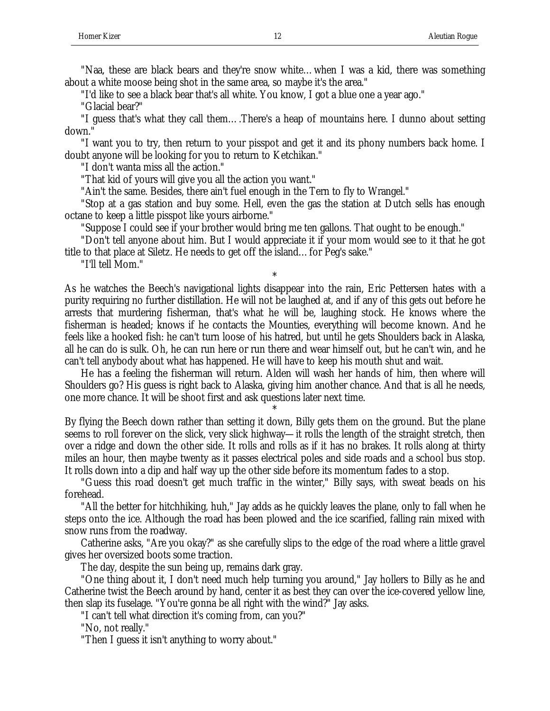"Naa, these are black bears and they're snow white…when I was a kid, there was something about a white moose being shot in the same area, so maybe it's the area."

"I'd like to see a black bear that's all white. You know, I got a blue one a year ago."

"Glacial bear?"

"I guess that's what they call them….There's a heap of mountains here. I dunno about setting down."

"I want you to try, then return to your pisspot and get it and its phony numbers back home. I doubt anyone will be looking for you to return to Ketchikan."

"I don't wanta miss all the action."

"That kid of yours will give you all the action you want."

"Ain't the same. Besides, there ain't fuel enough in the Tern to fly to Wrangel."

"Stop at a gas station and buy some. Hell, even the gas the station at Dutch sells has enough octane to keep a little pisspot like yours airborne."

"Suppose I could see if your brother would bring me ten gallons. That ought to be enough."

"Don't tell anyone about him. But I would appreciate it if your mom would see to it that he got title to that place at Siletz. He needs to get off the island…for Peg's sake."

"I'll tell Mom."

\* As he watches the Beech's navigational lights disappear into the rain, Eric Pettersen hates with a purity requiring no further distillation. He will not be laughed at, and if any of this gets out before he arrests that murdering fisherman, that's what he will be, laughing stock. He knows where the fisherman is headed; knows if he contacts the Mounties, everything will become known. And he feels like a hooked fish: he can't turn loose of his hatred, but until he gets Shoulders back in Alaska, all he can do is sulk. Oh, he can run here or run there and wear himself out, but he can't win, and he can't tell anybody about what has happened. He will have to keep his mouth shut and wait.

He has a feeling the fisherman will return. Alden will wash her hands of him, then where will Shoulders go? His guess is right back to Alaska, giving him another chance. And that is all he needs, one more chance. It will be shoot first and ask questions later next time.

\*

By flying the Beech down rather than setting it down, Billy gets them on the ground. But the plane seems to roll forever on the slick, very slick highway—it rolls the length of the straight stretch, then over a ridge and down the other side. It rolls and rolls as if it has no brakes. It rolls along at thirty miles an hour, then maybe twenty as it passes electrical poles and side roads and a school bus stop. It rolls down into a dip and half way up the other side before its momentum fades to a stop.

"Guess this road doesn't get much traffic in the winter," Billy says, with sweat beads on his forehead.

"All the better for hitchhiking, huh," Jay adds as he quickly leaves the plane, only to fall when he steps onto the ice. Although the road has been plowed and the ice scarified, falling rain mixed with snow runs from the roadway.

Catherine asks, "Are you okay?" as she carefully slips to the edge of the road where a little gravel gives her oversized boots some traction.

The day, despite the sun being up, remains dark gray.

"One thing about it, I don't need much help turning you around," Jay hollers to Billy as he and Catherine twist the Beech around by hand, center it as best they can over the ice-covered yellow line, then slap its fuselage. "You're gonna be all right with the wind?" Jay asks.

"I can't tell what direction it's coming from, can you?"

"No, not really."

"Then I guess it isn't anything to worry about."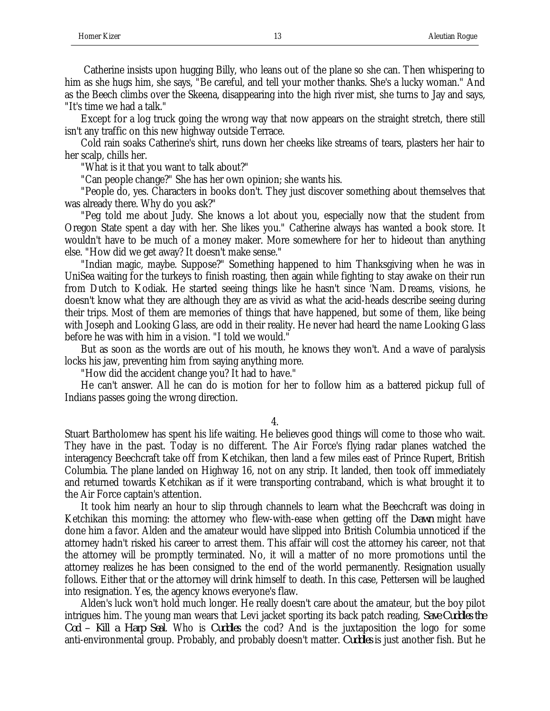Catherine insists upon hugging Billy, who leans out of the plane so she can. Then whispering to him as she hugs him, she says, "Be careful, and tell your mother thanks. She's a lucky woman." And as the Beech climbs over the Skeena, disappearing into the high river mist, she turns to Jay and says, "It's time we had a talk."

Except for a log truck going the wrong way that now appears on the straight stretch, there still isn't any traffic on this new highway outside Terrace.

Cold rain soaks Catherine's shirt, runs down her cheeks like streams of tears, plasters her hair to her scalp, chills her.

"What is it that you want to talk about?"

"Can people change?" She has her own opinion; she wants his.

"People do, yes. Characters in books don't. They just discover something about themselves that was already there. Why do you ask?"

"Peg told me about Judy. She knows a lot about you, especially now that the student from Oregon State spent a day with her. She likes you." Catherine always has wanted a book store. It wouldn't have to be much of a money maker. More somewhere for her to hideout than anything else. "How did we get away? It doesn't make sense."

"Indian magic, maybe. Suppose?" Something happened to him Thanksgiving when he was in UniSea waiting for the turkeys to finish roasting, then again while fighting to stay awake on their run from Dutch to Kodiak. He started seeing things like he hasn't since 'Nam. Dreams, visions, he doesn't know what they are although they are as vivid as what the acid-heads describe seeing during their trips. Most of them are memories of things that have happened, but some of them, like being with Joseph and Looking Glass, are odd in their reality. He never had heard the name Looking Glass before he was with him in a vision. "I told we would."

But as soon as the words are out of his mouth, he knows they won't. And a wave of paralysis locks his jaw, preventing him from saying anything more.

"How did the accident change you? It had to have."

He can't answer. All he can do is motion for her to follow him as a battered pickup full of Indians passes going the wrong direction.

4.

Stuart Bartholomew has spent his life waiting. He believes good things will come to those who wait. They have in the past. Today is no different. The Air Force's flying radar planes watched the interagency Beechcraft take off from Ketchikan, then land a few miles east of Prince Rupert, British Columbia. The plane landed on Highway 16, not on any strip. It landed, then took off immediately and returned towards Ketchikan as if it were transporting contraband, which is what brought it to the Air Force captain's attention.

It took him nearly an hour to slip through channels to learn what the Beechcraft was doing in Ketchikan this morning: the attorney who flew-with-ease when getting off the *Dawn* might have done him a favor. Alden and the amateur would have slipped into British Columbia unnoticed if the attorney hadn't risked his career to arrest them. This affair will cost the attorney his career, not that the attorney will be promptly terminated. No, it will a matter of no more promotions until the attorney realizes he has been consigned to the end of the world permanently. Resignation usually follows. Either that or the attorney will drink himself to death. In this case, Pettersen will be laughed into resignation. Yes, the agency knows everyone's flaw.

Alden's luck won't hold much longer. He really doesn't care about the amateur, but the boy pilot intrigues him. The young man wears that Levi jacket sporting its back patch reading, *Save Cuddles the Cod – Kill a Harp Seal*. Who is *Cuddles* the cod? And is the juxtaposition the logo for some anti-environmental group. Probably, and probably doesn't matter. *Cuddles* is just another fish. But he